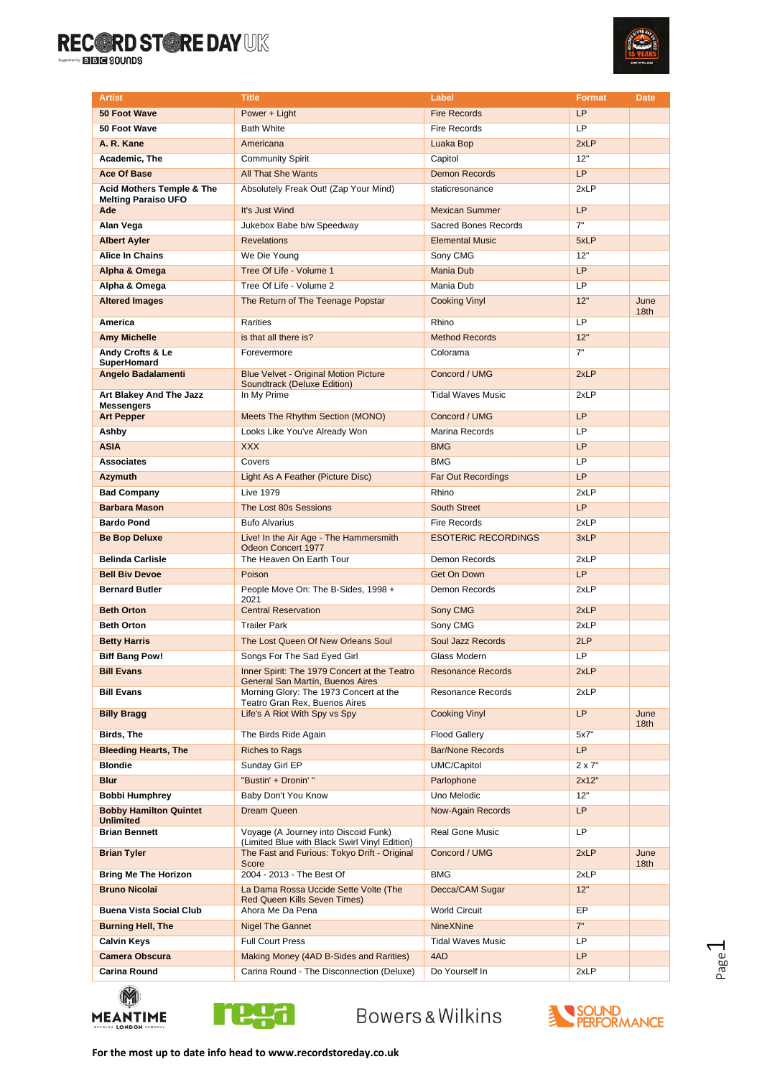

| <b>Artist</b>                                     | <b>Title</b>                                                                                  | Label                      | <b>Format</b> | <b>Date</b>              |
|---------------------------------------------------|-----------------------------------------------------------------------------------------------|----------------------------|---------------|--------------------------|
| 50 Foot Wave                                      | Power + Light                                                                                 | <b>Fire Records</b>        | LP            |                          |
| 50 Foot Wave                                      | <b>Bath White</b>                                                                             | <b>Fire Records</b>        | LP            |                          |
| A. R. Kane                                        | Americana                                                                                     | Luaka Bop                  | 2xLP          |                          |
| Academic, The                                     | <b>Community Spirit</b>                                                                       | Capitol                    | 12"           |                          |
| <b>Ace Of Base</b>                                | <b>All That She Wants</b>                                                                     | <b>Demon Records</b>       | <b>LP</b>     |                          |
| <b>Acid Mothers Temple &amp; The</b>              | Absolutely Freak Out! (Zap Your Mind)                                                         | staticresonance            | 2xLP          |                          |
| <b>Melting Paraiso UFO</b>                        |                                                                                               |                            |               |                          |
| Ade                                               | It's Just Wind                                                                                | <b>Mexican Summer</b>      | LP            |                          |
| Alan Vega                                         | Jukebox Babe b/w Speedway                                                                     | Sacred Bones Records       | 7"            |                          |
| <b>Albert Ayler</b>                               | <b>Revelations</b>                                                                            | <b>Elemental Music</b>     | 5xLP          |                          |
| Alice In Chains                                   | We Die Young                                                                                  | Sony CMG                   | 12"           |                          |
| Alpha & Omega                                     | Tree Of Life - Volume 1                                                                       | <b>Mania Dub</b>           | LP            |                          |
| Alpha & Omega                                     | Tree Of Life - Volume 2                                                                       | Mania Dub                  | LP            |                          |
| <b>Altered Images</b>                             | The Return of The Teenage Popstar                                                             | <b>Cooking Vinyl</b>       | 12"           | June<br>18 <sub>th</sub> |
| America                                           | Rarities                                                                                      | Rhino                      | LP            |                          |
| <b>Amy Michelle</b>                               | is that all there is?                                                                         | <b>Method Records</b>      | 12"           |                          |
| Andy Crofts & Le<br>SuperHomard                   | Forevermore                                                                                   | Colorama                   | 7"            |                          |
| <b>Angelo Badalamenti</b>                         | <b>Blue Velvet - Original Motion Picture</b><br>Soundtrack (Deluxe Edition)                   | Concord / UMG              | 2xLP          |                          |
| Art Blakey And The Jazz                           | In My Prime                                                                                   | <b>Tidal Waves Music</b>   | 2xLP          |                          |
| <b>Messengers</b><br><b>Art Pepper</b>            | Meets The Rhythm Section (MONO)                                                               | Concord / UMG              | LP            |                          |
| Ashby                                             | Looks Like You've Already Won                                                                 | Marina Records             | LP            |                          |
| <b>ASIA</b>                                       | <b>XXX</b>                                                                                    | <b>BMG</b>                 | <b>LP</b>     |                          |
| <b>Associates</b>                                 | Covers                                                                                        | <b>BMG</b>                 | LP            |                          |
|                                                   |                                                                                               |                            | <b>LP</b>     |                          |
| <b>Azymuth</b>                                    | Light As A Feather (Picture Disc)                                                             | <b>Far Out Recordings</b>  |               |                          |
| <b>Bad Company</b>                                | <b>Live 1979</b>                                                                              | Rhino                      | 2xLP          |                          |
| <b>Barbara Mason</b>                              | The Lost 80s Sessions                                                                         | <b>South Street</b>        | LP            |                          |
| <b>Bardo Pond</b>                                 | <b>Bufo Alvarius</b>                                                                          | <b>Fire Records</b>        | 2xLP          |                          |
| <b>Be Bop Deluxe</b>                              | Live! In the Air Age - The Hammersmith<br>Odeon Concert 1977                                  | <b>ESOTERIC RECORDINGS</b> | 3xLP          |                          |
| <b>Belinda Carlisle</b>                           | The Heaven On Earth Tour                                                                      | Demon Records              | 2xLP          |                          |
| <b>Bell Biv Devoe</b>                             | Poison                                                                                        | <b>Get On Down</b>         | LP            |                          |
| <b>Bernard Butler</b>                             | People Move On: The B-Sides, 1998 +<br>2021                                                   | Demon Records              | 2xLP          |                          |
| <b>Beth Orton</b>                                 | <b>Central Reservation</b>                                                                    | Sony CMG                   | 2xLP          |                          |
| <b>Beth Orton</b>                                 | <b>Trailer Park</b>                                                                           | Sony CMG                   | 2xLP          |                          |
| <b>Betty Harris</b>                               | The Lost Queen Of New Orleans Soul                                                            | Soul Jazz Records          | 2LP           |                          |
| <b>Biff Bang Pow!</b>                             | Songs For The Sad Eyed Girl                                                                   | Glass Modern               | LP            |                          |
| <b>Bill Evans</b>                                 | Inner Spirit: The 1979 Concert at the Teatro<br>General San Martín, Buenos Aires              | <b>Resonance Records</b>   | 2xLP          |                          |
| <b>Bill Evans</b>                                 | Morning Glory: The 1973 Concert at the<br>Teatro Gran Rex, Buenos Aires                       | <b>Resonance Records</b>   | 2xLP          |                          |
| <b>Billy Bragg</b>                                | Life's A Riot With Spy vs Spy                                                                 | <b>Cooking Vinyl</b>       | LP            | June<br>18th             |
| Birds, The                                        | The Birds Ride Again                                                                          | <b>Flood Gallery</b>       | 5x7"          |                          |
| <b>Bleeding Hearts, The</b>                       | <b>Riches to Rags</b>                                                                         | <b>Bar/None Records</b>    | LP            |                          |
| <b>Blondie</b>                                    | Sunday Girl EP                                                                                | UMC/Capitol                | $2 \times 7"$ |                          |
| <b>Blur</b>                                       | "Bustin' + Dronin' "                                                                          | Parlophone                 | 2x12"         |                          |
| <b>Bobbi Humphrey</b>                             | Baby Don't You Know                                                                           | Uno Melodic                | 12"           |                          |
| <b>Bobby Hamilton Quintet</b><br><b>Unlimited</b> | Dream Queen                                                                                   | <b>Now-Again Records</b>   | LP            |                          |
| <b>Brian Bennett</b>                              | Voyage (A Journey into Discoid Funk)                                                          | Real Gone Music            | LP            |                          |
| <b>Brian Tyler</b>                                | (Limited Blue with Black Swirl Vinyl Edition)<br>The Fast and Furious: Tokyo Drift - Original | Concord / UMG              | 2xLP          | June                     |
| <b>Bring Me The Horizon</b>                       | Score<br>2004 - 2013 - The Best Of                                                            | <b>BMG</b>                 | 2xLP          | 18th                     |
| <b>Bruno Nicolai</b>                              | La Dama Rossa Uccide Sette Volte (The                                                         | Decca/CAM Sugar            | 12"           |                          |
|                                                   | <b>Red Queen Kills Seven Times)</b>                                                           |                            |               |                          |
| <b>Buena Vista Social Club</b>                    | Ahora Me Da Pena                                                                              | <b>World Circuit</b>       | EP            |                          |
| <b>Burning Hell, The</b>                          | <b>Nigel The Gannet</b>                                                                       | <b>NineXNine</b>           | 7"            |                          |
| <b>Calvin Keys</b>                                | <b>Full Court Press</b>                                                                       | <b>Tidal Waves Music</b>   | <b>LP</b>     |                          |
| <b>Camera Obscura</b>                             | Making Money (4AD B-Sides and Rarities)                                                       | 4AD                        | LP            |                          |
| Carina Round                                      | Carina Round - The Disconnection (Deluxe)                                                     | Do Yourself In             | 2xLP          |                          |
|                                                   |                                                                                               |                            |               |                          |





Bowers&Wilkins



 $\overline{\phantom{0}}$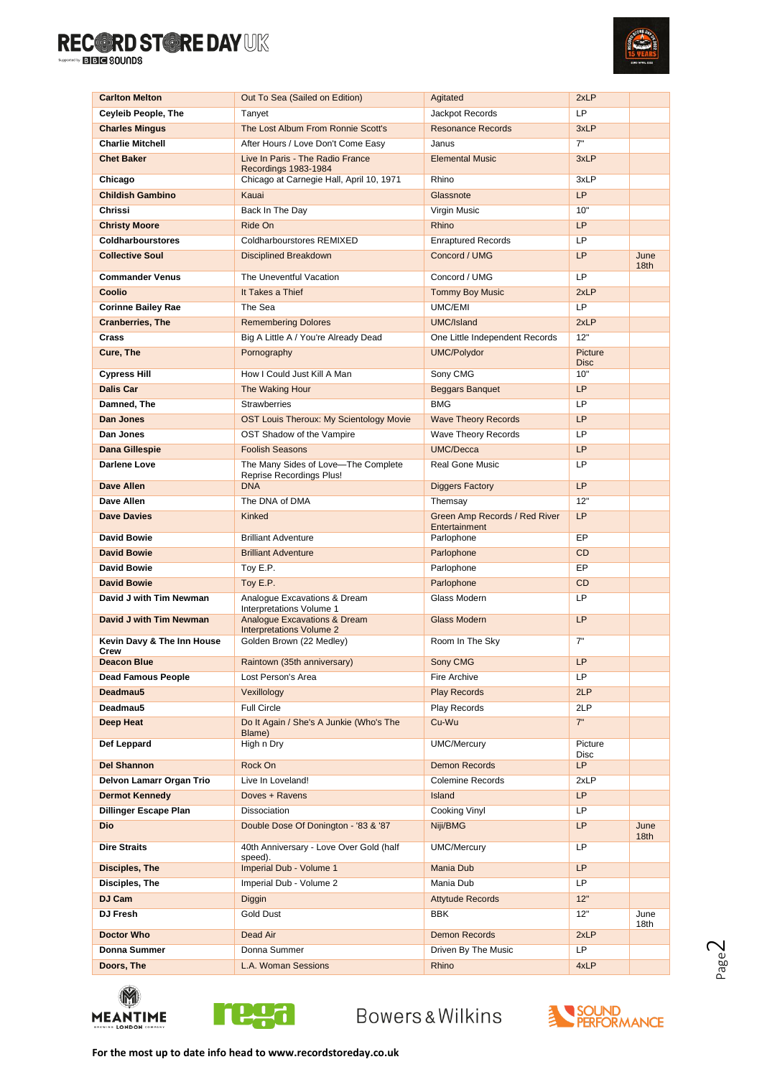

| <b>Carlton Melton</b>              | Out To Sea (Sailed on Edition)                                             | Agitated                                       | 2xLP                   |                          |
|------------------------------------|----------------------------------------------------------------------------|------------------------------------------------|------------------------|--------------------------|
| <b>Ceyleib People, The</b>         | Tanyet                                                                     | Jackpot Records                                | LP                     |                          |
| <b>Charles Mingus</b>              | The Lost Album From Ronnie Scott's                                         | <b>Resonance Records</b>                       | 3xLP                   |                          |
| <b>Charlie Mitchell</b>            | After Hours / Love Don't Come Easy                                         | Janus                                          | 7"                     |                          |
| <b>Chet Baker</b>                  | Live In Paris - The Radio France                                           | <b>Elemental Music</b>                         | 3xLP                   |                          |
| Chicago                            | Recordings 1983-1984<br>Chicago at Carnegie Hall, April 10, 1971           | Rhino                                          | 3xLP                   |                          |
| <b>Childish Gambino</b>            | Kauai                                                                      | Glassnote                                      | <b>LP</b>              |                          |
| Chrissi                            | Back In The Day                                                            | Virgin Music                                   | 10"                    |                          |
| <b>Christy Moore</b>               | Ride On                                                                    | Rhino                                          | <b>LP</b>              |                          |
| <b>Coldharbourstores</b>           | Coldharbourstores REMIXED                                                  | <b>Enraptured Records</b>                      | LP                     |                          |
| <b>Collective Soul</b>             | <b>Disciplined Breakdown</b>                                               | Concord / UMG                                  | LP                     | June                     |
|                                    |                                                                            |                                                |                        | 18th                     |
| <b>Commander Venus</b>             | The Uneventful Vacation                                                    | Concord / UMG                                  | LP                     |                          |
| Coolio                             | It Takes a Thief                                                           | <b>Tommy Boy Music</b>                         | 2xLP                   |                          |
| <b>Corinne Bailey Rae</b>          | The Sea                                                                    | UMC/EMI                                        | LP                     |                          |
| <b>Cranberries, The</b>            | <b>Remembering Dolores</b>                                                 | UMC/Island                                     | 2xLP                   |                          |
| Crass                              | Big A Little A / You're Already Dead                                       | One Little Independent Records                 | 12"                    |                          |
| Cure, The                          | Pornography                                                                | <b>UMC/Polydor</b>                             | Picture<br><b>Disc</b> |                          |
| <b>Cypress Hill</b>                | How I Could Just Kill A Man                                                | Sony CMG                                       | 10"                    |                          |
| <b>Dalis Car</b>                   | The Waking Hour                                                            | <b>Beggars Banquet</b>                         | <b>LP</b>              |                          |
| Damned, The                        | <b>Strawberries</b>                                                        | <b>BMG</b>                                     | LP                     |                          |
| Dan Jones                          | <b>OST Louis Theroux: My Scientology Movie</b>                             | <b>Wave Theory Records</b>                     | <b>LP</b>              |                          |
| Dan Jones                          | OST Shadow of the Vampire                                                  | <b>Wave Theory Records</b>                     | LP                     |                          |
| Dana Gillespie                     | <b>Foolish Seasons</b>                                                     | UMC/Decca                                      | <b>LP</b>              |                          |
| Darlene Love                       | The Many Sides of Love-The Complete<br><b>Reprise Recordings Plus!</b>     | <b>Real Gone Music</b>                         | LP                     |                          |
| <b>Dave Allen</b>                  | <b>DNA</b>                                                                 | <b>Diggers Factory</b>                         | <b>LP</b>              |                          |
| Dave Allen                         | The DNA of DMA                                                             | Themsay                                        | 12"                    |                          |
| <b>Dave Davies</b>                 | Kinked                                                                     | Green Amp Records / Red River<br>Entertainment | <b>LP</b>              |                          |
| <b>David Bowie</b>                 | <b>Brilliant Adventure</b>                                                 | Parlophone                                     | EP                     |                          |
| <b>David Bowie</b>                 | <b>Brilliant Adventure</b>                                                 | Parlophone                                     | <b>CD</b>              |                          |
| <b>David Bowie</b>                 | Toy E.P.                                                                   | Parlophone                                     | EP                     |                          |
| <b>David Bowie</b>                 | Toy E.P.                                                                   | Parlophone                                     | <b>CD</b>              |                          |
| David J with Tim Newman            | Analogue Excavations & Dream<br>Interpretations Volume 1                   | Glass Modern                                   | LP                     |                          |
| David J with Tim Newman            | <b>Analogue Excavations &amp; Dream</b><br><b>Interpretations Volume 2</b> | <b>Glass Modern</b>                            | LP                     |                          |
| Kevin Davy & The Inn House<br>Crew | Golden Brown (22 Medley)                                                   | Room In The Sky                                | 7"                     |                          |
| <b>Deacon Blue</b>                 | Raintown (35th anniversary)                                                | Sony CMG                                       | LP                     |                          |
| <b>Dead Famous People</b>          | Lost Person's Area                                                         | Fire Archive                                   | LP                     |                          |
| Deadmau5                           | Vexillology                                                                | <b>Play Records</b>                            | 2LP                    |                          |
| Deadmau5                           | <b>Full Circle</b>                                                         | Play Records                                   | 2LP                    |                          |
| Deep Heat                          | Do It Again / She's A Junkie (Who's The<br>Blame)                          | Cu-Wu                                          | 7"                     |                          |
| Def Leppard                        | High n Dry                                                                 | <b>UMC/Mercury</b>                             | Picture<br>Disc        |                          |
| <b>Del Shannon</b>                 | Rock On                                                                    | <b>Demon Records</b>                           | LP                     |                          |
| Delvon Lamarr Organ Trio           | Live In Loveland!                                                          | <b>Colemine Records</b>                        | 2xLP                   |                          |
| <b>Dermot Kennedy</b>              | Doves + Ravens                                                             | Island                                         | <b>LP</b>              |                          |
| <b>Dillinger Escape Plan</b>       | Dissociation                                                               | Cooking Vinyl                                  | LP                     |                          |
| <b>Dio</b>                         | Double Dose Of Donington - '83 & '87                                       | Niji/BMG                                       | LP                     | June<br>18 <sub>th</sub> |
| <b>Dire Straits</b>                | 40th Anniversary - Love Over Gold (half<br>speed).                         | <b>UMC/Mercury</b>                             | LP                     |                          |
| <b>Disciples, The</b>              | Imperial Dub - Volume 1                                                    | <b>Mania Dub</b>                               | <b>LP</b>              |                          |
| <b>Disciples, The</b>              | Imperial Dub - Volume 2                                                    | Mania Dub                                      | LP                     |                          |
| DJ Cam                             | Diggin                                                                     | <b>Attytude Records</b>                        | 12"                    |                          |
| DJ Fresh                           | Gold Dust                                                                  | <b>BBK</b>                                     | 12"                    | June                     |
| <b>Doctor Who</b>                  | Dead Air                                                                   | <b>Demon Records</b>                           | 2xLP                   | 18th                     |
| Donna Summer                       | Donna Summer                                                               | Driven By The Music                            | LP                     |                          |
| Doors, The                         | L.A. Woman Sessions                                                        | Rhino                                          | 4xLP                   |                          |
|                                    |                                                                            |                                                |                        |                          |





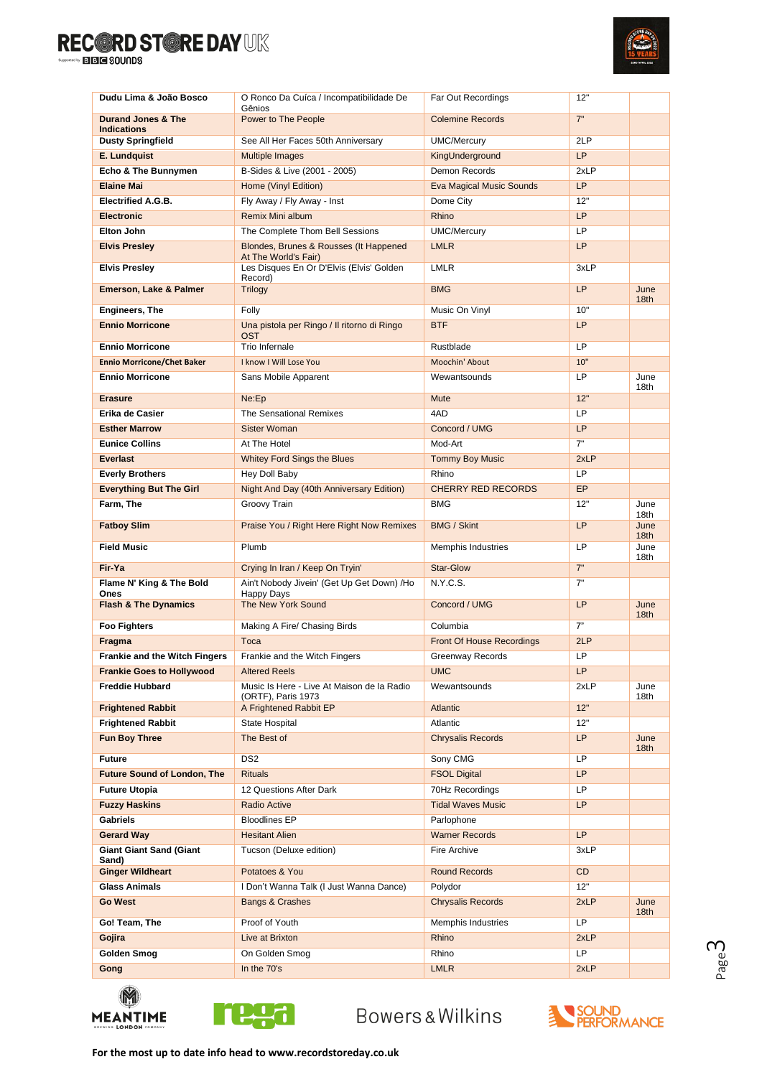

| Dudu Lima & João Bosco                                                   | O Ronco Da Cuíca / Incompatibilidade De<br>Gênios              | Far Out Recordings                    | 12"       |                          |
|--------------------------------------------------------------------------|----------------------------------------------------------------|---------------------------------------|-----------|--------------------------|
| <b>Durand Jones &amp; The</b>                                            | Power to The People                                            | <b>Colemine Records</b>               | 7"        |                          |
| <b>Indications</b><br><b>Dusty Springfield</b>                           | See All Her Faces 50th Anniversary                             | <b>UMC/Mercury</b>                    | 2LP       |                          |
| E. Lundquist                                                             | <b>Multiple Images</b>                                         | KingUnderground                       | <b>LP</b> |                          |
| Echo & The Bunnymen                                                      | B-Sides & Live (2001 - 2005)                                   | Demon Records                         | 2xLP      |                          |
| <b>Elaine Mai</b>                                                        | Home (Vinyl Edition)                                           | <b>Eva Magical Music Sounds</b>       | LP        |                          |
| <b>Electrified A.G.B.</b>                                                | Fly Away / Fly Away - Inst                                     | Dome City                             | 12"       |                          |
| <b>Electronic</b>                                                        | Remix Mini album                                               | Rhino                                 | <b>LP</b> |                          |
| <b>Elton John</b>                                                        | The Complete Thom Bell Sessions                                | <b>UMC/Mercury</b>                    | LP        |                          |
| <b>Elvis Presley</b>                                                     | Blondes, Brunes & Rousses (It Happened<br>At The World's Fair) | <b>LMLR</b>                           | LP        |                          |
| <b>Elvis Presley</b>                                                     | Les Disques En Or D'Elvis (Elvis' Golden<br>Record)            | <b>LMLR</b>                           | 3xLP      |                          |
| Emerson, Lake & Palmer                                                   | <b>Trilogy</b>                                                 | <b>BMG</b>                            | LP        | June<br>18 <sub>th</sub> |
| <b>Engineers, The</b>                                                    | Folly                                                          | Music On Vinyl                        | 10"       |                          |
| <b>Ennio Morricone</b>                                                   | Una pistola per Ringo / Il ritorno di Ringo                    | <b>BTF</b>                            | LP        |                          |
|                                                                          | <b>OST</b><br>Trio Infernale                                   |                                       | LP        |                          |
| <b>Ennio Morricone</b><br><b>Ennio Morricone/Chet Baker</b>              | I know I Will Lose You                                         | Rustblade<br>Moochin' About           | 10"       |                          |
| <b>Ennio Morricone</b>                                                   |                                                                | Wewantsounds                          | LP        | June                     |
|                                                                          | Sans Mobile Apparent                                           |                                       |           | 18th                     |
| <b>Erasure</b>                                                           | Ne:Ep                                                          | <b>Mute</b>                           | 12"       |                          |
| Erika de Casier                                                          | <b>The Sensational Remixes</b>                                 | 4AD                                   | LP        |                          |
| <b>Esther Marrow</b>                                                     | <b>Sister Woman</b>                                            | Concord / UMG                         | <b>LP</b> |                          |
| <b>Eunice Collins</b>                                                    | At The Hotel                                                   | Mod-Art                               | 7"        |                          |
| <b>Everlast</b>                                                          | <b>Whitey Ford Sings the Blues</b>                             | <b>Tommy Boy Music</b>                | 2xLP      |                          |
| <b>Everly Brothers</b>                                                   | Hey Doll Baby                                                  | Rhino                                 | <b>LP</b> |                          |
| <b>Everything But The Girl</b>                                           | Night And Day (40th Anniversary Edition)                       | <b>CHERRY RED RECORDS</b>             | EP        |                          |
| Farm, The                                                                | Groovy Train                                                   | <b>BMG</b>                            | 12"       | June<br>18th             |
| <b>Fatboy Slim</b>                                                       | Praise You / Right Here Right Now Remixes                      | <b>BMG / Skint</b>                    | <b>LP</b> | June<br>18th             |
| <b>Field Music</b>                                                       | Plumb                                                          | <b>Memphis Industries</b>             | LP        | June<br>18th             |
| Fir-Ya                                                                   | Crying In Iran / Keep On Tryin'                                | <b>Star-Glow</b>                      | 7"        |                          |
| Flame N' King & The Bold<br>Ones                                         | Ain't Nobody Jivein' (Get Up Get Down) /Ho                     | N.Y.C.S.                              | 7"        |                          |
| <b>Flash &amp; The Dynamics</b>                                          | <b>Happy Days</b><br>The New York Sound                        | Concord / UMG                         | LP        | June                     |
|                                                                          |                                                                |                                       | 7"        | 18th                     |
| <b>Foo Fighters</b>                                                      | Making A Fire/ Chasing Birds                                   | Columbia                              | 2LP       |                          |
| Fragma                                                                   | Toca                                                           | <b>Front Of House Recordings</b>      | LP        |                          |
| <b>Frankie and the Witch Fingers</b><br><b>Frankie Goes to Hollywood</b> | Frankie and the Witch Fingers<br><b>Altered Reels</b>          | <b>Greenway Records</b><br><b>UMC</b> | LP.       |                          |
| <b>Freddie Hubbard</b>                                                   | Music Is Here - Live At Maison de la Radio                     | Wewantsounds                          | 2xLP      | June                     |
|                                                                          | (ORTF), Paris 1973                                             |                                       |           | 18th                     |
| <b>Frightened Rabbit</b>                                                 | A Frightened Rabbit EP                                         | Atlantic                              | 12"       |                          |
| <b>Frightened Rabbit</b>                                                 | State Hospital                                                 | Atlantic                              | 12"       |                          |
| <b>Fun Boy Three</b>                                                     | The Best of                                                    | <b>Chrysalis Records</b>              | LP        | June<br>18th             |
| <b>Future</b>                                                            | DS <sub>2</sub>                                                | Sony CMG                              | LP        |                          |
| <b>Future Sound of London, The</b>                                       | <b>Rituals</b>                                                 | <b>FSOL Digital</b>                   | <b>LP</b> |                          |
| <b>Future Utopia</b>                                                     | 12 Questions After Dark                                        | 70Hz Recordings                       | LP        |                          |
| <b>Fuzzy Haskins</b>                                                     | <b>Radio Active</b>                                            | <b>Tidal Waves Music</b>              | <b>LP</b> |                          |
| <b>Gabriels</b>                                                          | <b>Bloodlines EP</b>                                           | Parlophone                            |           |                          |
| <b>Gerard Way</b>                                                        | <b>Hesitant Alien</b>                                          | <b>Warner Records</b>                 | LP        |                          |
| <b>Giant Giant Sand (Giant</b><br>Sand)                                  | Tucson (Deluxe edition)                                        | Fire Archive                          | 3xLP      |                          |
| <b>Ginger Wildheart</b>                                                  | Potatoes & You                                                 | <b>Round Records</b>                  | CD        |                          |
| <b>Glass Animals</b>                                                     | I Don't Wanna Talk (I Just Wanna Dance)                        | Polydor                               | 12"       |                          |
| <b>Go West</b>                                                           | Bangs & Crashes                                                | <b>Chrysalis Records</b>              | 2xLP      | June<br>18th             |
| Go! Team, The                                                            | Proof of Youth                                                 | Memphis Industries                    | <b>LP</b> |                          |
| Gojira                                                                   | Live at Brixton                                                | Rhino                                 | 2xLP      |                          |
| Golden Smog                                                              | On Golden Smog                                                 | Rhino                                 | <b>LP</b> |                          |
| Gong                                                                     | In the 70's                                                    | <b>LMLR</b>                           | 2xLP      |                          |





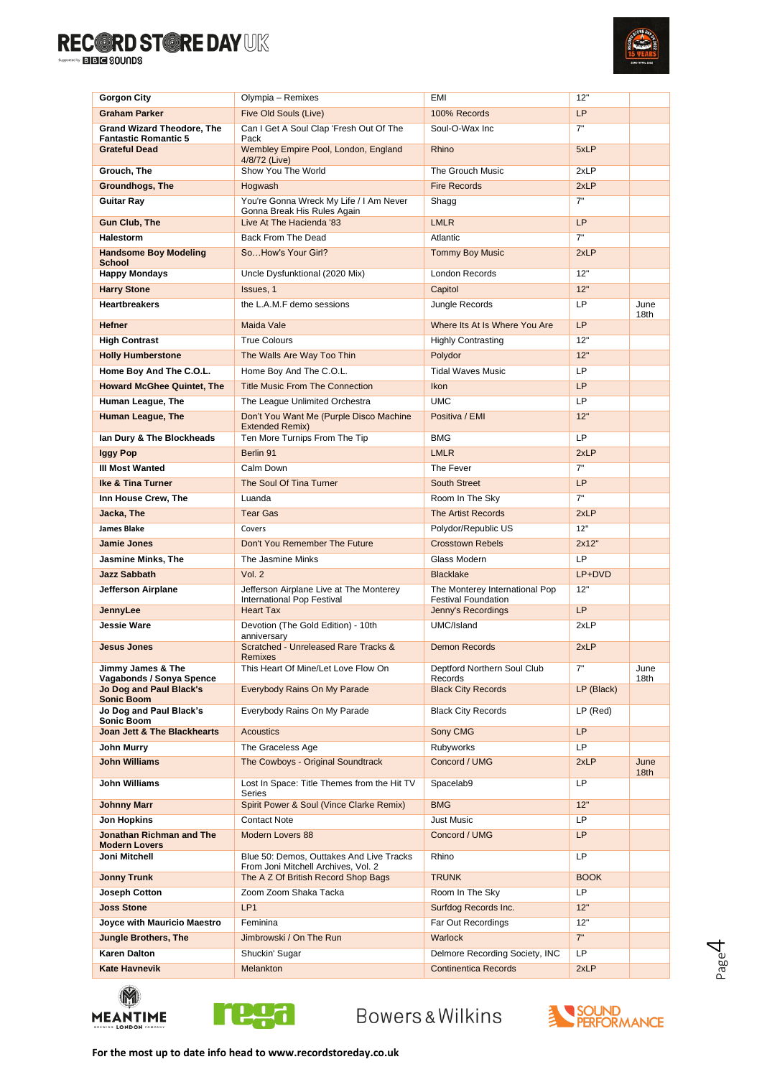

| <b>Gorgon City</b>                                               |                                                                                 | EMI                                                          | 12"         |                          |
|------------------------------------------------------------------|---------------------------------------------------------------------------------|--------------------------------------------------------------|-------------|--------------------------|
| <b>Graham Parker</b>                                             | Olympia - Remixes<br>Five Old Souls (Live)                                      |                                                              | <b>LP</b>   |                          |
|                                                                  | Can I Get A Soul Clap 'Fresh Out Of The                                         | 100% Records<br>Soul-O-Wax Inc                               | 7"          |                          |
| <b>Grand Wizard Theodore, The</b><br><b>Fantastic Romantic 5</b> | Pack                                                                            |                                                              |             |                          |
| <b>Grateful Dead</b>                                             | Wembley Empire Pool, London, England<br>4/8/72 (Live)                           | Rhino                                                        | 5xLP        |                          |
| Grouch, The                                                      | Show You The World                                                              | The Grouch Music                                             | 2xLP        |                          |
| <b>Groundhogs, The</b>                                           | Hogwash                                                                         | <b>Fire Records</b>                                          | 2xLP        |                          |
| <b>Guitar Ray</b>                                                | You're Gonna Wreck My Life / I Am Never<br>Gonna Break His Rules Again          | Shagg                                                        | 7"          |                          |
| <b>Gun Club, The</b>                                             | Live At The Hacienda '83                                                        | <b>LMLR</b>                                                  | <b>LP</b>   |                          |
| <b>Halestorm</b>                                                 | Back From The Dead                                                              | Atlantic                                                     | 7"          |                          |
| <b>Handsome Boy Modeling</b><br><b>School</b>                    | SoHow's Your Girl?                                                              | <b>Tommy Boy Music</b>                                       | 2xLP        |                          |
| <b>Happy Mondays</b>                                             | Uncle Dysfunktional (2020 Mix)                                                  | London Records                                               | 12"         |                          |
| <b>Harry Stone</b>                                               | Issues, 1                                                                       | Capitol                                                      | 12"         |                          |
| <b>Heartbreakers</b>                                             | the L.A.M.F demo sessions                                                       | Jungle Records                                               | <b>LP</b>   | June                     |
| <b>Hefner</b>                                                    | Maida Vale                                                                      | Where Its At Is Where You Are                                | <b>LP</b>   | 18th                     |
| <b>High Contrast</b>                                             | <b>True Colours</b>                                                             | <b>Highly Contrasting</b>                                    | 12"         |                          |
| <b>Holly Humberstone</b>                                         | The Walls Are Way Too Thin                                                      | Polydor                                                      | 12"         |                          |
| Home Boy And The C.O.L.                                          | Home Boy And The C.O.L.                                                         | <b>Tidal Waves Music</b>                                     | LP          |                          |
| <b>Howard McGhee Quintet, The</b>                                | <b>Title Music From The Connection</b>                                          | <b>Ikon</b>                                                  | <b>LP</b>   |                          |
| Human League, The                                                | The League Unlimited Orchestra                                                  | <b>UMC</b>                                                   | LP          |                          |
| <b>Human League, The</b>                                         | Don't You Want Me (Purple Disco Machine                                         | Positiva / EMI                                               | 12"         |                          |
|                                                                  | <b>Extended Remix)</b>                                                          |                                                              |             |                          |
| lan Dury & The Blockheads                                        | Ten More Turnips From The Tip                                                   | <b>BMG</b>                                                   | LP          |                          |
| Iggy Pop                                                         | Berlin 91                                                                       | <b>LMLR</b>                                                  | 2xLP        |                          |
| <b>III Most Wanted</b>                                           | Calm Down                                                                       | The Fever                                                    | 7"          |                          |
| <b>Ike &amp; Tina Turner</b>                                     | The Soul Of Tina Turner                                                         | <b>South Street</b>                                          | LP          |                          |
| Inn House Crew, The                                              | Luanda                                                                          | Room In The Sky                                              | 7"          |                          |
| Jacka, The                                                       | <b>Tear Gas</b>                                                                 | <b>The Artist Records</b>                                    | 2xLP        |                          |
| <b>James Blake</b>                                               | Covers                                                                          | Polydor/Republic US                                          | 12"         |                          |
| <b>Jamie Jones</b>                                               | Don't You Remember The Future                                                   | <b>Crosstown Rebels</b>                                      | 2x12"       |                          |
| Jasmine Minks, The                                               | The Jasmine Minks                                                               | Glass Modern                                                 | <b>LP</b>   |                          |
| <b>Jazz Sabbath</b>                                              | Vol. 2                                                                          | <b>Blacklake</b>                                             | LP+DVD      |                          |
| Jefferson Airplane                                               | Jefferson Airplane Live at The Monterey<br>International Pop Festival           | The Monterey International Pop<br><b>Festival Foundation</b> | 12"         |                          |
| JennyLee                                                         | <b>Heart Tax</b>                                                                | Jenny's Recordings                                           | <b>LP</b>   |                          |
| <b>Jessie Ware</b>                                               | Devotion (The Gold Edition) - 10th<br>anniversary                               | UMC/Island                                                   | 2xLP        |                          |
| <b>Jesus Jones</b>                                               | Scratched - Unreleased Rare Tracks &<br><b>Remixes</b>                          | <b>Demon Records</b>                                         | 2xLP        |                          |
| Jimmy James & The<br>Vagabonds / Sonya Spence                    | This Heart Of Mine/Let Love Flow On                                             | Deptford Northern Soul Club<br>Records                       | 7"          | June<br>18th             |
| Jo Dog and Paul Black's<br><b>Sonic Boom</b>                     | Everybody Rains On My Parade                                                    | <b>Black City Records</b>                                    | LP (Black)  |                          |
| Jo Dog and Paul Black's<br>Sonic Boom                            | Everybody Rains On My Parade                                                    | <b>Black City Records</b>                                    | LP (Red)    |                          |
| Joan Jett & The Blackhearts                                      | <b>Acoustics</b>                                                                | Sony CMG                                                     | <b>LP</b>   |                          |
| John Murry                                                       | The Graceless Age                                                               | Rubyworks                                                    | LP          |                          |
| <b>John Williams</b>                                             | The Cowboys - Original Soundtrack                                               | Concord / UMG                                                | 2xLP        | June<br>18 <sub>th</sub> |
| <b>John Williams</b>                                             | Lost In Space: Title Themes from the Hit TV<br>Series                           | Spacelab9                                                    | LP          |                          |
| <b>Johnny Marr</b>                                               | Spirit Power & Soul (Vince Clarke Remix)                                        | <b>BMG</b>                                                   | 12"         |                          |
| Jon Hopkins                                                      | <b>Contact Note</b>                                                             | Just Music                                                   | LP.         |                          |
| Jonathan Richman and The<br><b>Modern Lovers</b>                 | <b>Modern Lovers 88</b>                                                         | Concord / UMG                                                | LP.         |                          |
| Joni Mitchell                                                    | Blue 50: Demos, Outtakes And Live Tracks<br>From Joni Mitchell Archives, Vol. 2 | Rhino                                                        | LP          |                          |
| <b>Jonny Trunk</b>                                               | The A Z Of British Record Shop Bags                                             | <b>TRUNK</b>                                                 | <b>BOOK</b> |                          |
| Joseph Cotton                                                    | Zoom Zoom Shaka Tacka                                                           | Room In The Sky                                              | LP          |                          |
| <b>Joss Stone</b>                                                | LP <sub>1</sub>                                                                 | Surfdog Records Inc.                                         | 12"         |                          |
| Joyce with Mauricio Maestro                                      | Feminina                                                                        | Far Out Recordings                                           | 12"         |                          |
| <b>Jungle Brothers, The</b>                                      | Jimbrowski / On The Run                                                         | Warlock                                                      | 7"          |                          |
| <b>Karen Dalton</b>                                              |                                                                                 |                                                              |             |                          |
|                                                                  | Shuckin' Sugar                                                                  | Delmore Recording Society, INC                               | LP          |                          |





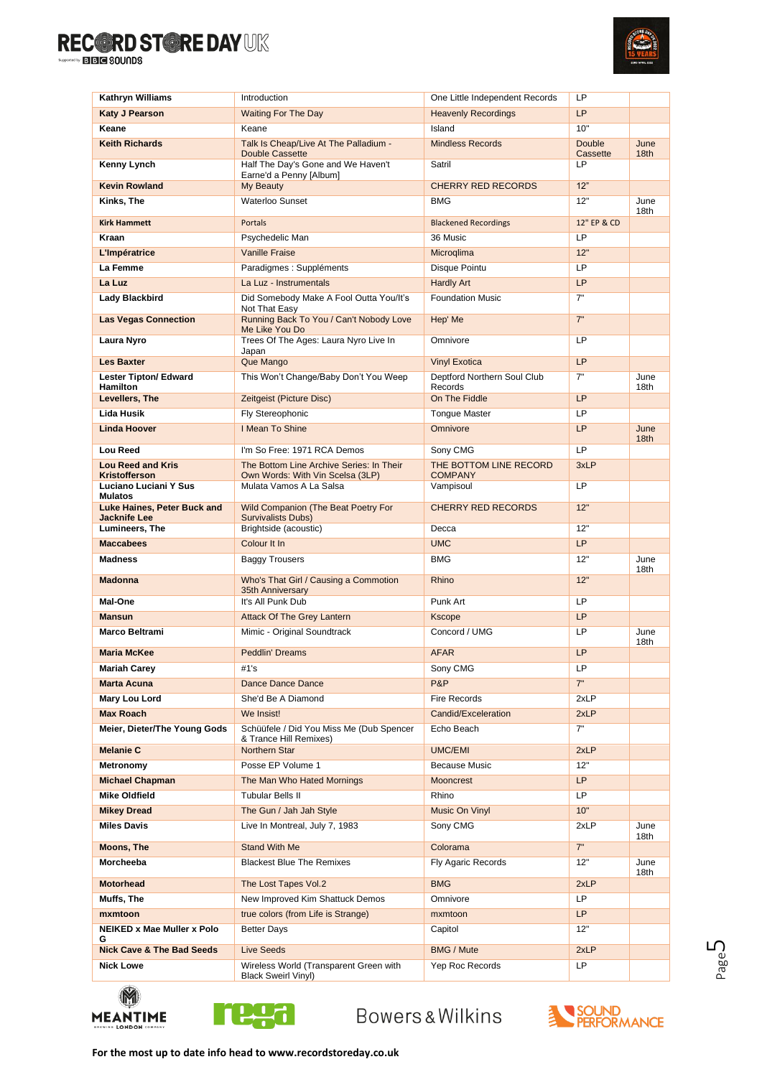

| <b>Kathryn Williams</b>                         | Introduction                                                         | One Little Independent Records         | LP                        |                          |
|-------------------------------------------------|----------------------------------------------------------------------|----------------------------------------|---------------------------|--------------------------|
| <b>Katy J Pearson</b>                           | <b>Waiting For The Day</b>                                           | <b>Heavenly Recordings</b>             | LP                        |                          |
| Keane                                           | Keane                                                                | Island                                 | 10"                       |                          |
| <b>Keith Richards</b>                           | Talk Is Cheap/Live At The Palladium -<br>Double Cassette             | <b>Mindless Records</b>                | <b>Double</b><br>Cassette | June<br>18 <sub>th</sub> |
| Kenny Lynch                                     | Half The Day's Gone and We Haven't<br>Earne'd a Penny [Album]        | Satril                                 | LP                        |                          |
| <b>Kevin Rowland</b>                            | My Beauty                                                            | <b>CHERRY RED RECORDS</b>              | 12"                       |                          |
| Kinks, The                                      | <b>Waterloo Sunset</b>                                               | BMG                                    | 12"                       | June<br>18th             |
| <b>Kirk Hammett</b>                             | Portals                                                              | <b>Blackened Recordings</b>            | 12" EP & CD               |                          |
| Kraan                                           | Psychedelic Man                                                      | 36 Music                               | LP                        |                          |
| L'Impératrice                                   | <b>Vanille Fraise</b>                                                | Microglima                             | 12"                       |                          |
| La Femme                                        | Paradigmes : Suppléments                                             | Disque Pointu                          | LP                        |                          |
| La Luz                                          | La Luz - Instrumentals                                               | <b>Hardly Art</b>                      | LP                        |                          |
| Lady Blackbird                                  | Did Somebody Make A Fool Outta You/It's<br>Not That Easy             | <b>Foundation Music</b>                | 7"                        |                          |
| <b>Las Vegas Connection</b>                     | Running Back To You / Can't Nobody Love<br>Me Like You Do            | Hep' Me                                | 7"                        |                          |
| Laura Nyro                                      | Trees Of The Ages: Laura Nyro Live In<br>Japan                       | Omnivore                               | <b>LP</b>                 |                          |
| <b>Les Baxter</b>                               | Que Mango                                                            | <b>Vinyl Exotica</b>                   | <b>LP</b>                 |                          |
| <b>Lester Tipton/ Edward</b><br><b>Hamilton</b> | This Won't Change/Baby Don't You Weep                                | Deptford Northern Soul Club<br>Records | 7"                        | June<br>18th             |
| Levellers, The                                  | Zeitgeist (Picture Disc)                                             | On The Fiddle                          | <b>LP</b>                 |                          |
| Lida Husik                                      | Fly Stereophonic                                                     | <b>Tongue Master</b>                   | <b>LP</b>                 |                          |
| <b>Linda Hoover</b>                             | I Mean To Shine                                                      | Omnivore                               | <b>LP</b>                 | June<br>18 <sub>th</sub> |
| <b>Lou Reed</b>                                 | I'm So Free: 1971 RCA Demos                                          | Sony CMG                               | LP                        |                          |
| <b>Lou Reed and Kris</b>                        | The Bottom Line Archive Series: In Their                             | THE BOTTOM LINE RECORD                 | 3xLP                      |                          |
| Kristofferson<br>Luciano Luciani Y Sus          | Own Words: With Vin Scelsa (3LP)<br>Mulata Vamos A La Salsa          | <b>COMPANY</b><br>Vampisoul            | <b>LP</b>                 |                          |
| <b>Mulatos</b><br>Luke Haines, Peter Buck and   | Wild Companion (The Beat Poetry For                                  | <b>CHERRY RED RECORDS</b>              | 12"                       |                          |
| <b>Jacknife Lee</b><br>Lumineers, The           | <b>Survivalists Dubs)</b><br>Brightside (acoustic)                   | Decca                                  | 12"                       |                          |
| <b>Maccabees</b>                                | Colour It In                                                         | <b>UMC</b>                             | <b>LP</b>                 |                          |
| <b>Madness</b>                                  | <b>Baggy Trousers</b>                                                | <b>BMG</b>                             | 12"                       | June                     |
| <b>Madonna</b>                                  | Who's That Girl / Causing a Commotion<br>35th Anniversary            | Rhino                                  | 12"                       | 18th                     |
| Mal-One                                         | It's All Punk Dub                                                    | Punk Art                               | LP                        |                          |
| <b>Mansun</b>                                   | <b>Attack Of The Grey Lantern</b>                                    | <b>Kscope</b>                          | <b>LP</b>                 |                          |
| Marco Beltrami                                  | Mimic - Original Soundtrack                                          | Concord / UMG                          | LP                        | June<br>18th             |
| <b>Maria McKee</b>                              | <b>Peddlin' Dreams</b>                                               | <b>AFAR</b>                            | <b>LP</b>                 |                          |
| Mariah Carey                                    | #1's                                                                 | Sony CMG                               | LP.                       |                          |
| <b>Marta Acuna</b>                              | Dance Dance Dance                                                    | P&P                                    | 7"                        |                          |
| Mary Lou Lord                                   | She'd Be A Diamond                                                   | Fire Records                           | 2xLP                      |                          |
| Max Roach                                       | We Insist!                                                           | Candid/Exceleration                    | 2xLP                      |                          |
| Meier, Dieter/The Young Gods                    | Schüüfele / Did You Miss Me (Dub Spencer<br>& Trance Hill Remixes)   | Echo Beach                             | 7"                        |                          |
| <b>Melanie C</b>                                | Northern Star                                                        | <b>UMC/EMI</b>                         | 2xLP                      |                          |
| Metronomy                                       | Posse EP Volume 1                                                    | Because Music                          | 12"                       |                          |
| <b>Michael Chapman</b>                          | The Man Who Hated Mornings                                           | Mooncrest                              | LP                        |                          |
| <b>Mike Oldfield</b>                            | <b>Tubular Bells II</b>                                              | Rhino                                  | LP.                       |                          |
| <b>Mikey Dread</b>                              | The Gun / Jah Jah Style                                              | Music On Vinyl                         | 10"                       |                          |
| <b>Miles Davis</b>                              | Live In Montreal, July 7, 1983                                       | Sony CMG                               | 2xLP                      | June<br>18th             |
| Moons, The                                      | <b>Stand With Me</b>                                                 | Colorama                               | 7"                        |                          |
| Morcheeba                                       | <b>Blackest Blue The Remixes</b>                                     | Fly Agaric Records                     | 12"                       | June<br>18th             |
| <b>Motorhead</b>                                | The Lost Tapes Vol.2                                                 | <b>BMG</b>                             | 2xLP                      |                          |
| Muffs, The                                      | New Improved Kim Shattuck Demos                                      | Omnivore                               | LP                        |                          |
| mxmtoon                                         | true colors (from Life is Strange)                                   | mxmtoon                                | LP                        |                          |
| <b>NEIKED x Mae Muller x Polo</b><br>G          | <b>Better Days</b>                                                   | Capitol                                | 12"                       |                          |
| <b>Nick Cave &amp; The Bad Seeds</b>            | <b>Live Seeds</b>                                                    | <b>BMG / Mute</b>                      | 2xLP                      |                          |
| <b>Nick Lowe</b>                                | Wireless World (Transparent Green with<br><b>Black Sweirl Vinyl)</b> | Yep Roc Records                        | LP.                       |                          |
|                                                 |                                                                      |                                        |                           |                          |





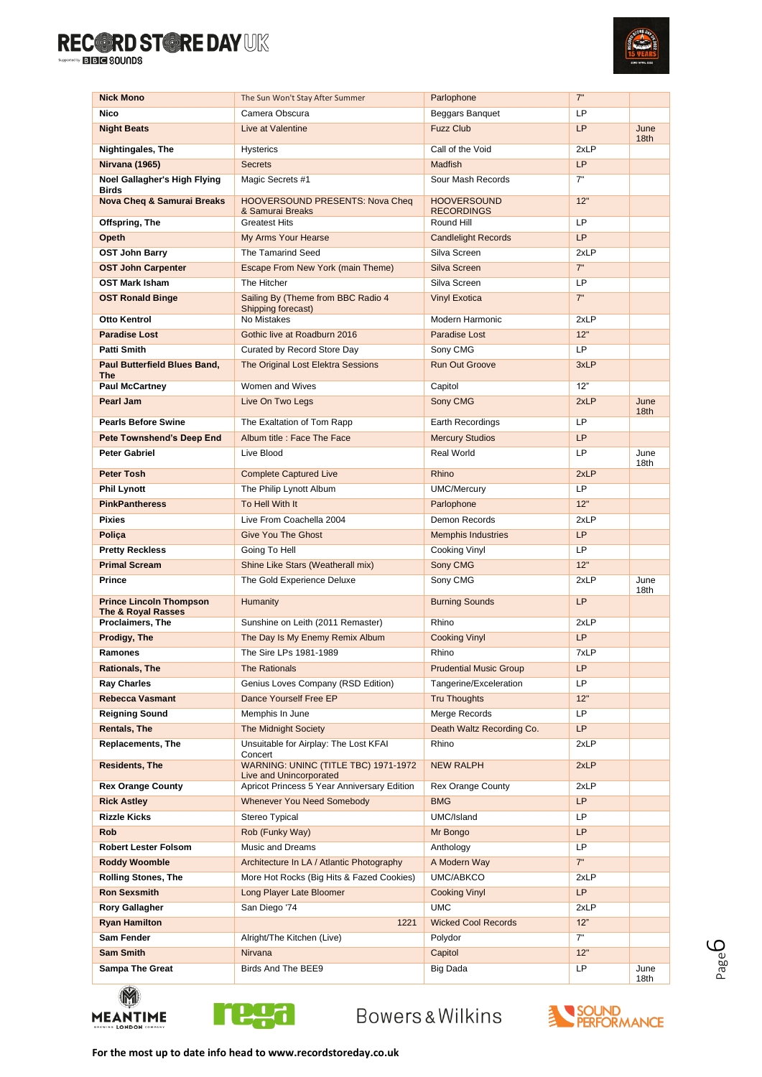

| <b>Nick Mono</b>                                                | The Sun Won't Stay After Summer                                 | Parlophone                              | 7"          |                          |
|-----------------------------------------------------------------|-----------------------------------------------------------------|-----------------------------------------|-------------|--------------------------|
| <b>Nico</b>                                                     | Camera Obscura                                                  | Beggars Banguet                         | LP          |                          |
| <b>Night Beats</b>                                              | Live at Valentine                                               | <b>Fuzz Club</b>                        | <b>LP</b>   | June<br>18th             |
| Nightingales, The                                               | <b>Hysterics</b>                                                | Call of the Void                        | 2xLP        |                          |
| <b>Nirvana (1965)</b>                                           | <b>Secrets</b>                                                  | <b>Madfish</b>                          | <b>LP</b>   |                          |
| Noel Gallagher's High Flying<br><b>Birds</b>                    | Magic Secrets #1                                                | Sour Mash Records                       | 7"          |                          |
| <b>Nova Cheq &amp; Samurai Breaks</b>                           | <b>HOOVERSOUND PRESENTS: Nova Cheq</b><br>& Samurai Breaks      | <b>HOOVERSOUND</b><br><b>RECORDINGS</b> | 12"         |                          |
| Offspring, The                                                  | <b>Greatest Hits</b>                                            | Round Hill                              | LP          |                          |
| Opeth                                                           | My Arms Your Hearse                                             | <b>Candlelight Records</b>              | <b>LP</b>   |                          |
| <b>OST John Barry</b>                                           | The Tamarind Seed                                               | Silva Screen                            | 2xLP        |                          |
| <b>OST John Carpenter</b>                                       | Escape From New York (main Theme)                               | Silva Screen                            | 7"          |                          |
| <b>OST Mark Isham</b>                                           | The Hitcher                                                     | Silva Screen                            | LP          |                          |
| <b>OST Ronald Binge</b>                                         | Sailing By (Theme from BBC Radio 4<br>Shipping forecast)        | <b>Vinyl Exotica</b>                    | 7"          |                          |
| <b>Otto Kentrol</b>                                             | No Mistakes                                                     | Modern Harmonic                         | 2xLP        |                          |
| <b>Paradise Lost</b>                                            | Gothic live at Roadburn 2016                                    | Paradise Lost                           | 12"         |                          |
| <b>Patti Smith</b>                                              | Curated by Record Store Day                                     | Sony CMG                                | <b>LP</b>   |                          |
| <b>Paul Butterfield Blues Band,</b><br><b>The</b>               | The Original Lost Elektra Sessions                              | Run Out Groove                          | 3xLP        |                          |
| <b>Paul McCartney</b>                                           | Women and Wives                                                 | Capitol                                 | 12"         |                          |
| Pearl Jam                                                       | Live On Two Legs                                                | Sony CMG                                | 2xLP        | June<br>18 <sub>th</sub> |
| <b>Pearls Before Swine</b>                                      | The Exaltation of Tom Rapp                                      | Earth Recordings                        | <b>LP</b>   |                          |
| <b>Pete Townshend's Deep End</b>                                | Album title : Face The Face                                     | <b>Mercury Studios</b>                  | <b>LP</b>   |                          |
| <b>Peter Gabriel</b>                                            | Live Blood                                                      | Real World                              | LP          | June<br>18th             |
| <b>Peter Tosh</b>                                               | <b>Complete Captured Live</b>                                   | Rhino                                   | 2xLP        |                          |
| <b>Phil Lynott</b>                                              | The Philip Lynott Album                                         | <b>UMC/Mercury</b>                      | <b>LP</b>   |                          |
| <b>PinkPantheress</b>                                           | To Hell With It                                                 | Parlophone                              | 12"         |                          |
| <b>Pixies</b>                                                   | Live From Coachella 2004                                        | Demon Records                           | 2xLP        |                          |
| Polica                                                          | <b>Give You The Ghost</b>                                       | <b>Memphis Industries</b>               | <b>LP</b>   |                          |
| <b>Pretty Reckless</b>                                          | Going To Hell                                                   | Cooking Vinyl                           | LP          |                          |
| <b>Primal Scream</b>                                            | Shine Like Stars (Weatherall mix)                               | Sony CMG                                | 12"         |                          |
| <b>Prince</b>                                                   | The Gold Experience Deluxe                                      | Sony CMG                                | 2xLP        | June<br>18th             |
| <b>Prince Lincoln Thompson</b><br><b>The &amp; Royal Rasses</b> | <b>Humanity</b>                                                 | <b>Burning Sounds</b>                   | LP          |                          |
| <b>Proclaimers, The</b>                                         | Sunshine on Leith (2011 Remaster)                               | Rhino                                   | 2xLP        |                          |
| Prodigy, The                                                    | The Day Is My Enemy Remix Album                                 | <b>Cooking Vinyl</b>                    | <b>LP</b>   |                          |
| Ramones                                                         | The Sire LPs 1981-1989                                          | Rhino                                   | 7xLP        |                          |
| <b>Rationals, The</b>                                           | The Rationals                                                   | <b>Prudential Music Group</b>           | LP          |                          |
| <b>Ray Charles</b>                                              | Genius Loves Company (RSD Edition)                              | Tangerine/Exceleration                  | LP.         |                          |
| <b>Rebecca Vasmant</b>                                          | Dance Yourself Free EP                                          | <b>Tru Thoughts</b>                     | 12"         |                          |
| <b>Reigning Sound</b>                                           | Memphis In June                                                 | Merge Records                           | LP          |                          |
| <b>Rentals, The</b>                                             | <b>The Midnight Society</b>                                     | Death Waltz Recording Co.               | LP          |                          |
| <b>Replacements, The</b>                                        | Unsuitable for Airplay: The Lost KFAI<br>Concert                | Rhino                                   | 2xLP        |                          |
| <b>Residents, The</b>                                           | WARNING: UNINC (TITLE TBC) 1971-1972<br>Live and Unincorporated | <b>NEW RALPH</b>                        | 2xLP        |                          |
| <b>Rex Orange County</b>                                        | Apricot Princess 5 Year Anniversary Edition                     | <b>Rex Orange County</b>                | 2xLP        |                          |
| <b>Rick Astley</b>                                              | <b>Whenever You Need Somebody</b>                               | <b>BMG</b>                              | <b>LP</b>   |                          |
| <b>Rizzle Kicks</b>                                             | Stereo Typical                                                  | UMC/Island                              | LP          |                          |
| <b>Rob</b>                                                      | Rob (Funky Way)                                                 | Mr Bongo                                | LP          |                          |
| <b>Robert Lester Folsom</b>                                     | Music and Dreams                                                | Anthology                               | LP          |                          |
| <b>Roddy Woomble</b>                                            | Architecture In LA / Atlantic Photography                       | A Modern Way                            | 7"          |                          |
| <b>Rolling Stones, The</b><br><b>Ron Sexsmith</b>               | More Hot Rocks (Big Hits & Fazed Cookies)                       | UMC/ABKCO                               | 2xLP<br>LP  |                          |
|                                                                 | Long Player Late Bloomer                                        | <b>Cooking Vinyl</b><br><b>UMC</b>      |             |                          |
| <b>Rory Gallagher</b><br><b>Ryan Hamilton</b>                   | San Diego '74<br>1221                                           | <b>Wicked Cool Records</b>              | 2xLP<br>12" |                          |
| Sam Fender                                                      | Alright/The Kitchen (Live)                                      | Polydor                                 | 7"          |                          |
| <b>Sam Smith</b>                                                | Nirvana                                                         | Capitol                                 | 12"         |                          |
| <b>Sampa The Great</b>                                          | Birds And The BEE9                                              | Big Dada                                | LP          | June                     |
|                                                                 |                                                                 |                                         |             | 18th                     |





**Bowers & Wilkins** 



Page ص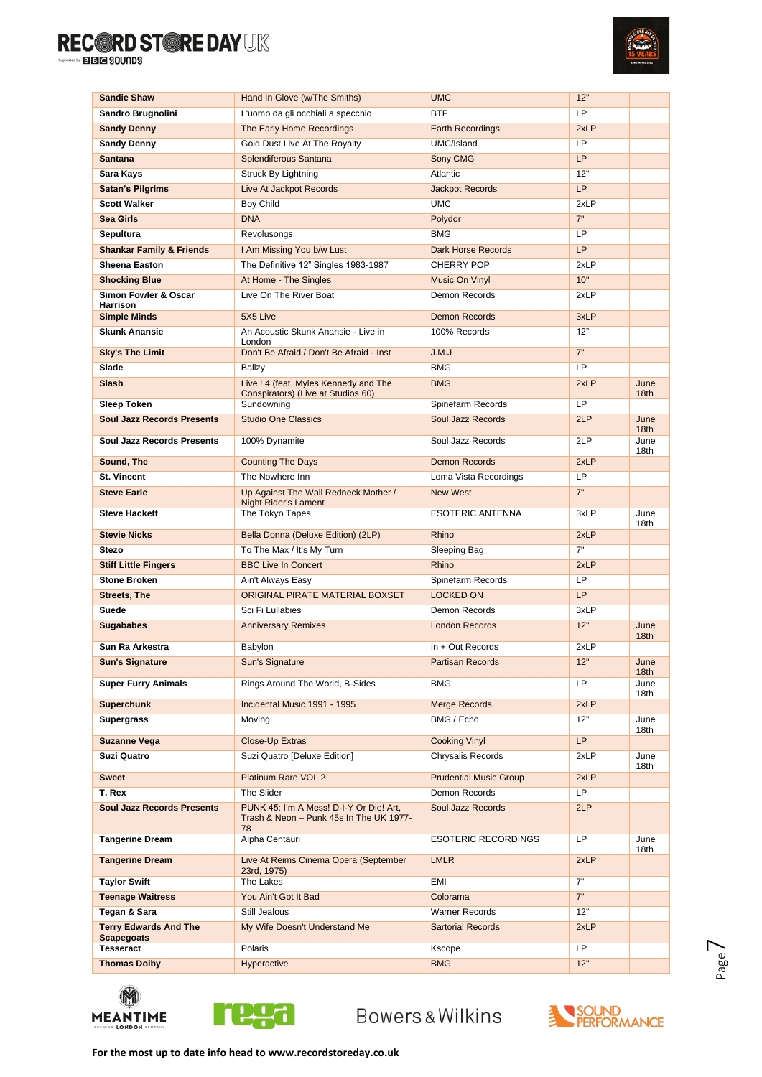

| <b>Sandie Shaw</b>                      | Hand In Glove (w/The Smiths)                                                             | <b>UMC</b>                               | 12"         |                          |
|-----------------------------------------|------------------------------------------------------------------------------------------|------------------------------------------|-------------|--------------------------|
| Sandro Brugnolini                       | L'uomo da gli occhiali a specchio                                                        | <b>BTF</b>                               | LP          |                          |
| <b>Sandy Denny</b>                      | The Early Home Recordings                                                                | <b>Earth Recordings</b>                  | 2xLP        |                          |
| <b>Sandy Denny</b>                      | Gold Dust Live At The Royalty                                                            | UMC/Island                               | <b>LP</b>   |                          |
| <b>Santana</b>                          | Splendiferous Santana                                                                    | Sony CMG                                 | LP          |                          |
| Sara Kays                               | Struck By Lightning                                                                      | Atlantic                                 | 12"         |                          |
| <b>Satan's Pilgrims</b>                 | Live At Jackpot Records                                                                  | <b>Jackpot Records</b>                   | LP          |                          |
| <b>Scott Walker</b>                     | <b>Boy Child</b>                                                                         | <b>UMC</b>                               | 2xLP        |                          |
| Sea Girls                               | <b>DNA</b>                                                                               | Polydor                                  | 7"          |                          |
| Sepultura                               | Revolusongs                                                                              | <b>BMG</b>                               | LP          |                          |
| <b>Shankar Family &amp; Friends</b>     | I Am Missing You b/w Lust                                                                | <b>Dark Horse Records</b>                | LP          |                          |
| <b>Sheena Easton</b>                    | The Definitive 12" Singles 1983-1987                                                     | CHERRY POP                               | 2xLP        |                          |
| <b>Shocking Blue</b>                    | At Home - The Singles                                                                    | Music On Vinyl                           | 10"         |                          |
| Simon Fowler & Oscar<br><b>Harrison</b> | Live On The River Boat                                                                   | Demon Records                            | 2xLP        |                          |
| <b>Simple Minds</b>                     | 5X5 Live                                                                                 | <b>Demon Records</b>                     | 3xLP        |                          |
| <b>Skunk Anansie</b>                    | An Acoustic Skunk Anansie - Live in                                                      | 100% Records                             | 12"         |                          |
|                                         | London                                                                                   |                                          | 7"          |                          |
| <b>Sky's The Limit</b><br>Slade         | Don't Be Afraid / Don't Be Afraid - Inst                                                 | J.M.J<br><b>BMG</b>                      | LP          |                          |
| Slash                                   | Ballzy                                                                                   |                                          |             |                          |
|                                         | Live ! 4 (feat. Myles Kennedy and The<br>Conspirators) (Live at Studios 60)              | <b>BMG</b>                               | 2xLP        | June<br>18th             |
| <b>Sleep Token</b>                      | Sundowning                                                                               | Spinefarm Records                        | LP          |                          |
| <b>Soul Jazz Records Presents</b>       | <b>Studio One Classics</b>                                                               | Soul Jazz Records                        | 2LP         | June<br>18 <sub>th</sub> |
| <b>Soul Jazz Records Presents</b>       | 100% Dynamite                                                                            | Soul Jazz Records                        | 2LP         | June                     |
|                                         |                                                                                          |                                          |             | 18th                     |
| Sound, The<br>St. Vincent               | <b>Counting The Days</b><br>The Nowhere Inn                                              | <b>Demon Records</b>                     | 2xLP<br>LP  |                          |
| <b>Steve Earle</b>                      |                                                                                          | Loma Vista Recordings<br><b>New West</b> | 7"          |                          |
|                                         | Up Against The Wall Redneck Mother /<br><b>Night Rider's Lament</b>                      |                                          |             |                          |
| <b>Steve Hackett</b>                    | The Tokyo Tapes                                                                          | <b>ESOTERIC ANTENNA</b>                  | 3xLP        | June                     |
| <b>Stevie Nicks</b>                     | Bella Donna (Deluxe Edition) (2LP)                                                       | Rhino                                    | 2xLP        | 18th                     |
| Stezo                                   | To The Max / It's My Turn                                                                | Sleeping Bag                             | 7"          |                          |
| <b>Stiff Little Fingers</b>             | <b>BBC Live In Concert</b>                                                               | Rhino                                    | 2xLP        |                          |
| <b>Stone Broken</b>                     | Ain't Always Easy                                                                        | Spinefarm Records                        | LP          |                          |
| <b>Streets, The</b>                     | ORIGINAL PIRATE MATERIAL BOXSET                                                          | <b>LOCKED ON</b>                         | LP          |                          |
| Suede                                   | Sci Fi Lullabies                                                                         | Demon Records                            | 3xLP        |                          |
| <b>Sugababes</b>                        | <b>Anniversary Remixes</b>                                                               | <b>London Records</b>                    | 12"         | June                     |
| Sun Ra Arkestra                         | Babylon                                                                                  | $In + Out$ Records                       | 2xLP        | 18 <sub>th</sub>         |
| <b>Sun's Signature</b>                  | Sun's Signature                                                                          | <b>Partisan Records</b>                  | 12"         | June                     |
|                                         |                                                                                          |                                          |             | 18 <sub>th</sub>         |
| <b>Super Furry Animals</b>              | Rings Around The World, B-Sides                                                          | BMG                                      | LP.         | June<br>18th             |
| <b>Superchunk</b>                       | Incidental Music 1991 - 1995                                                             | <b>Merge Records</b>                     | 2xLP        |                          |
| <b>Supergrass</b>                       | Moving                                                                                   | BMG / Echo                               | 12"         | June                     |
| <b>Suzanne Vega</b>                     | Close-Up Extras                                                                          | <b>Cooking Vinyl</b>                     | LP          | 18th                     |
| <b>Suzi Quatro</b>                      | Suzi Quatro [Deluxe Edition]                                                             | Chrysalis Records                        | 2xLP        | June                     |
|                                         |                                                                                          |                                          |             | 18th                     |
| <b>Sweet</b>                            | Platinum Rare VOL 2                                                                      | <b>Prudential Music Group</b>            | 2xLP<br>LP. |                          |
| T. Rex                                  | The Slider                                                                               | Demon Records                            |             |                          |
| <b>Soul Jazz Records Presents</b>       | PUNK 45: I'm A Mess! D-I-Y Or Die! Art,<br>Trash & Neon - Punk 45s In The UK 1977-<br>78 | Soul Jazz Records                        | 2LP         |                          |
| <b>Tangerine Dream</b>                  | Alpha Centauri                                                                           | <b>ESOTERIC RECORDINGS</b>               | LP.         | June<br>18th             |
| <b>Tangerine Dream</b>                  | Live At Reims Cinema Opera (September<br>23rd, 1975)                                     | <b>LMLR</b>                              | 2xLP        |                          |
| <b>Taylor Swift</b>                     | The Lakes                                                                                | EMI                                      | 7"          |                          |
| <b>Teenage Waitress</b>                 | You Ain't Got It Bad                                                                     | Colorama                                 | 7"          |                          |
| Tegan & Sara                            | Still Jealous                                                                            | <b>Warner Records</b>                    | 12"         |                          |
| <b>Terry Edwards And The</b>            | My Wife Doesn't Understand Me                                                            | <b>Sartorial Records</b>                 | 2xLP        |                          |
| <b>Scapegoats</b><br>Tesseract          | Polaris                                                                                  | Kscope                                   | LP.         |                          |
| <b>Thomas Dolby</b>                     | Hyperactive                                                                              | <b>BMG</b>                               | 12"         |                          |
|                                         |                                                                                          |                                          |             |                          |